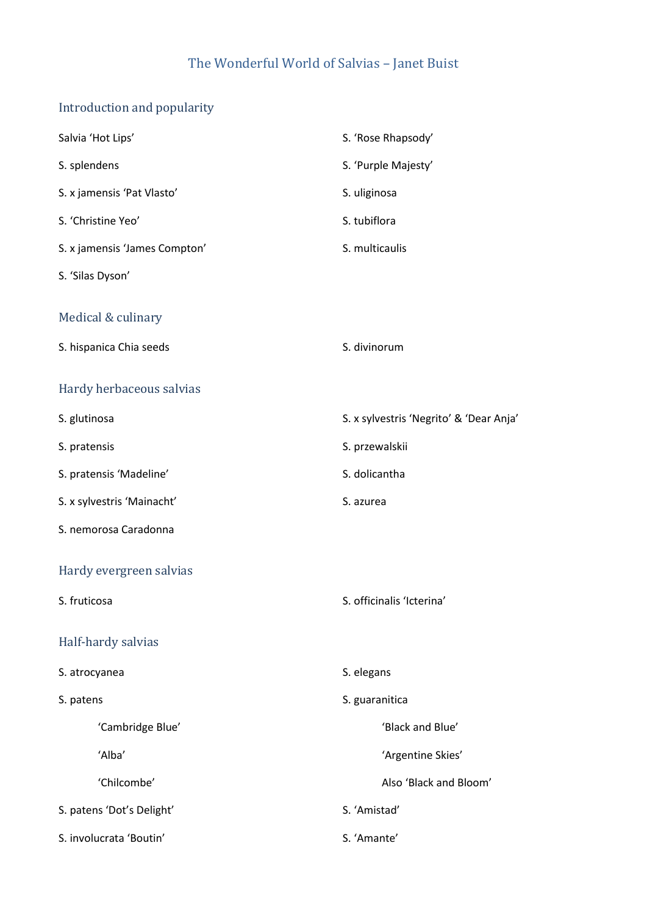## The Wonderful World of Salvias – Janet Buist

# Introduction and popularity

| Salvia 'Hot Lips'             | S. 'Rose Rhapsody'                      |
|-------------------------------|-----------------------------------------|
| S. splendens                  | S. 'Purple Majesty'                     |
| S. x jamensis 'Pat Vlasto'    | S. uliginosa                            |
| S. 'Christine Yeo'            | S. tubiflora                            |
| S. x jamensis 'James Compton' | S. multicaulis                          |
| S. 'Silas Dyson'              |                                         |
| Medical & culinary            |                                         |
| S. hispanica Chia seeds       | S. divinorum                            |
| Hardy herbaceous salvias      |                                         |
| S. glutinosa                  | S. x sylvestris 'Negrito' & 'Dear Anja' |
| S. pratensis                  | S. przewalskii                          |
| S. pratensis 'Madeline'       | S. dolicantha                           |
| S. x sylvestris 'Mainacht'    | S. azurea                               |
| S. nemorosa Caradonna         |                                         |
| Hardy evergreen salvias       |                                         |
| S. fruticosa                  | S. officinalis 'Icterina'               |
| Half-hardy salvias            |                                         |
| S. atrocyanea                 | S. elegans                              |
| S. patens                     | S. guaranitica                          |
| 'Cambridge Blue'              | 'Black and Blue'                        |
| 'Alba'                        | 'Argentine Skies'                       |
| 'Chilcombe'                   | Also 'Black and Bloom'                  |
| S. patens 'Dot's Delight'     | S. 'Amistad'                            |
| S. involucrata 'Boutin'       | S. 'Amante'                             |
|                               |                                         |